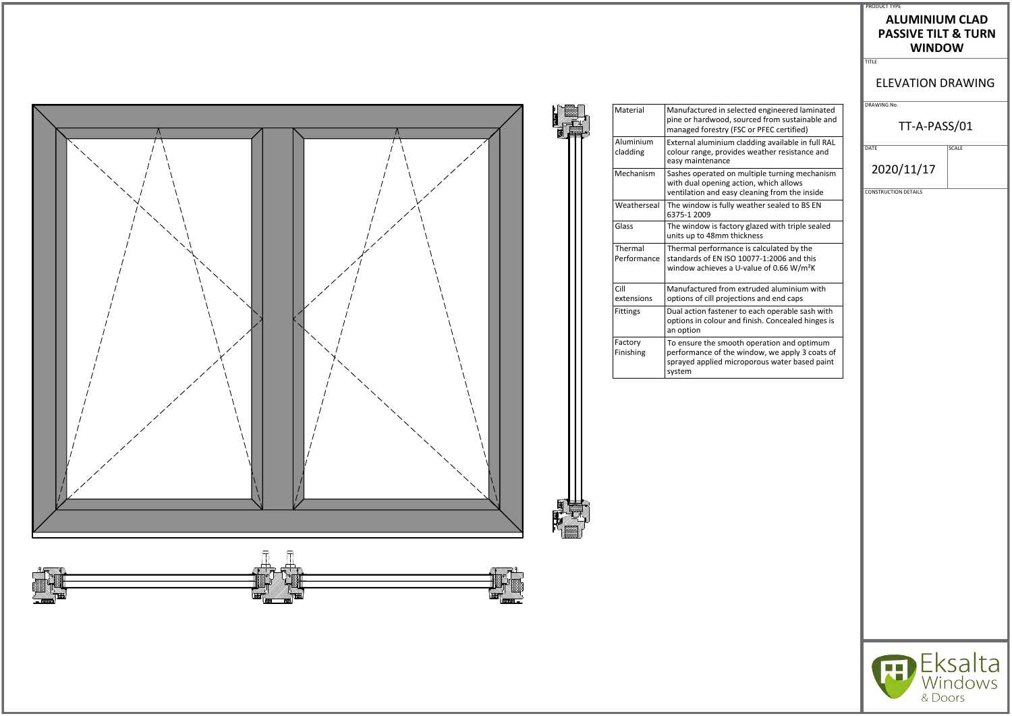

|                                                                                                                                                         | <b>ELEVATION [</b>                        |
|---------------------------------------------------------------------------------------------------------------------------------------------------------|-------------------------------------------|
| Manufactured in selected engineered laminated<br>pine or hardwood, sourced from sustainable and<br>managed forestry (FSC or PFEC certified)             | DRAWING No.<br>TT-A-PA                    |
| External aluminium cladding available in full RAL<br>colour range, provides weather resistance and<br>easy maintenance                                  | DATE                                      |
| Sashes operated on multiple turning mechanism<br>with dual opening action, which allows<br>ventilation and easy cleaning from the inside                | 2020/11/17<br><b>CONSTRUCTION DETAILS</b> |
| The window is fully weather sealed to BS EN<br>6375-1 2009                                                                                              |                                           |
| The window is factory glazed with triple sealed<br>units up to 48mm thickness                                                                           |                                           |
| Thermal performance is calculated by the<br>standards of EN ISO 10077-1:2006 and this<br>window achieves a U-value of 0.66 W/m <sup>2</sup> K           |                                           |
| Manufactured from extruded aluminium with<br>options of cill projections and end caps                                                                   |                                           |
| Dual action fastener to each operable sash with<br>options in colour and finish. Concealed hinges is<br>an option                                       |                                           |
| To ensure the smooth operation and optimum<br>performance of the window, we apply 3 coats of<br>sprayed applied microporous water based paint<br>system |                                           |
|                                                                                                                                                         |                                           |



 $-$ 

#### PRODUCT TYPE

#### **ALUMINIUM CLAD PASSIVE TILT & TURN WINDOW**

TITLE

### ELEVATION DRAWING

# TT-A-PASS/01

 $\overline{\big|$  SCALE



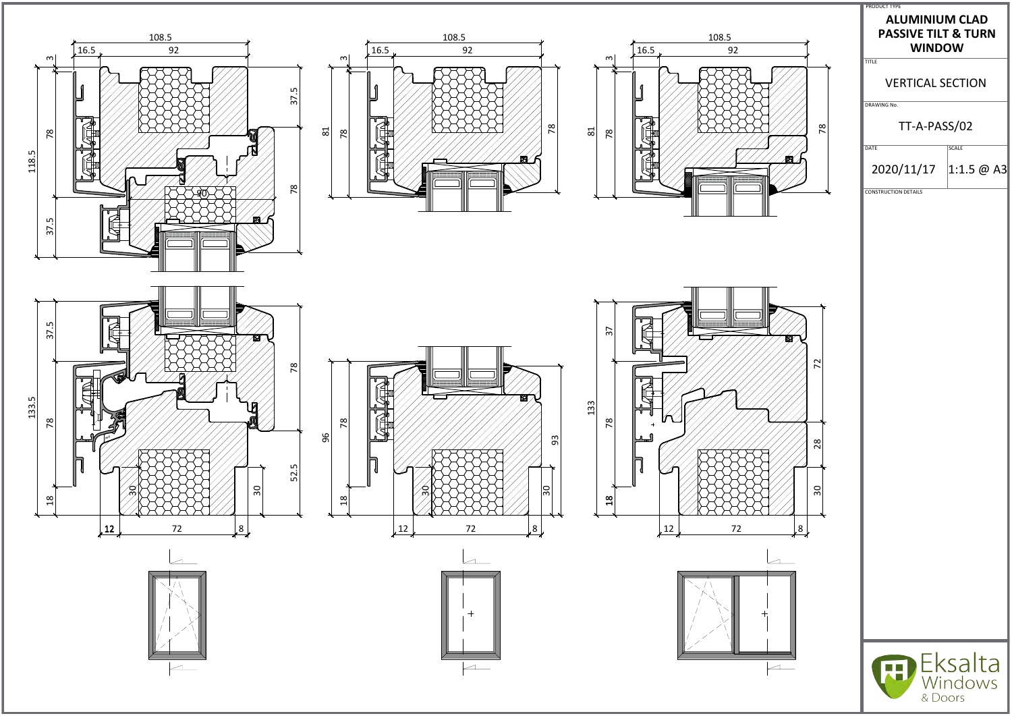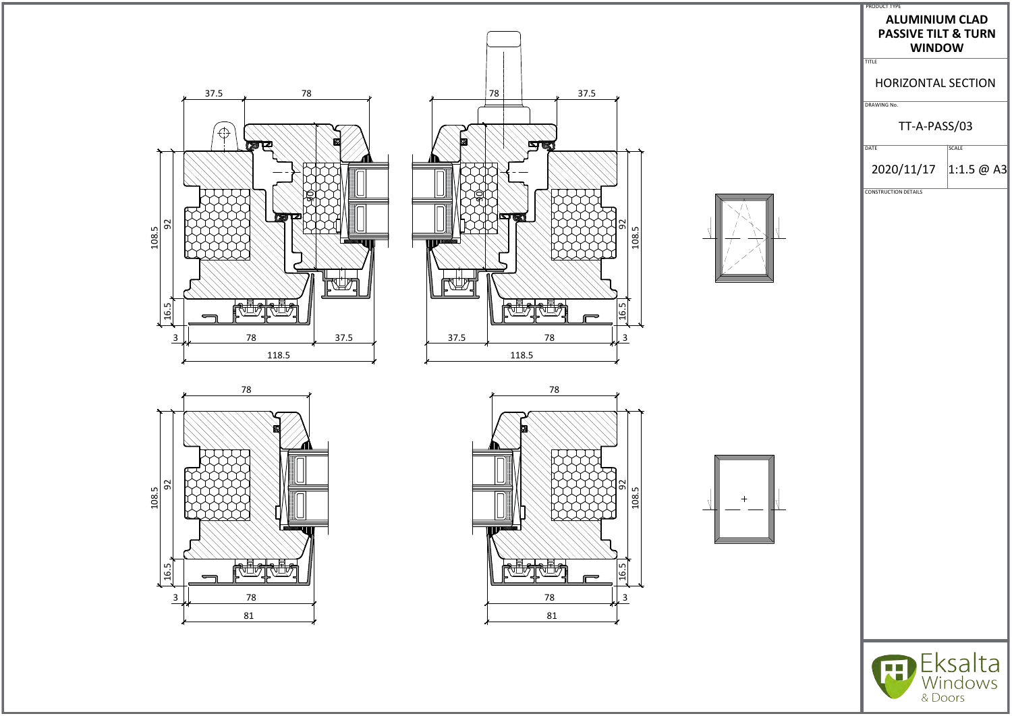













| <b>PRODUCT TYPE</b> |  |
|---------------------|--|

#### **ALUMINIUM CLAD PASSIVE TILT & TURN WINDOW**

TITLE

# HORIZONTAL SECTION

DRAWING No.

# TT-A-PASS/03

DATE SCALE

2020/11/17  $|1:1.5 \text{ @ A3}|$ 

CONSTRUCTION DETAILS



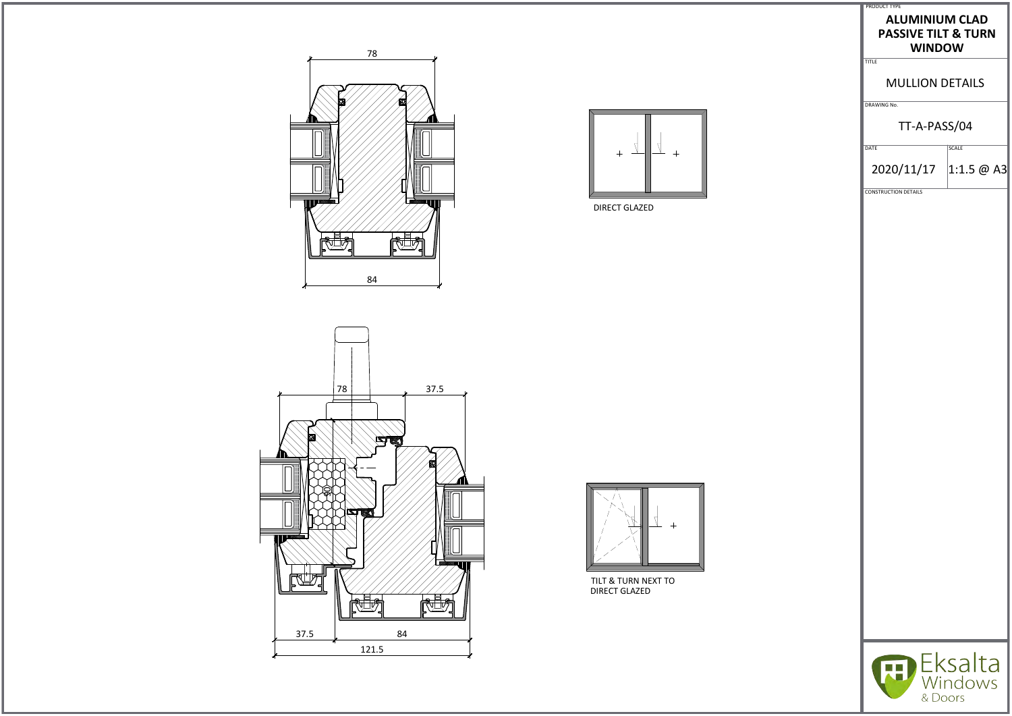



DIRECT GLAZED





TILT & TURN NEXT TO DIRECT GLAZED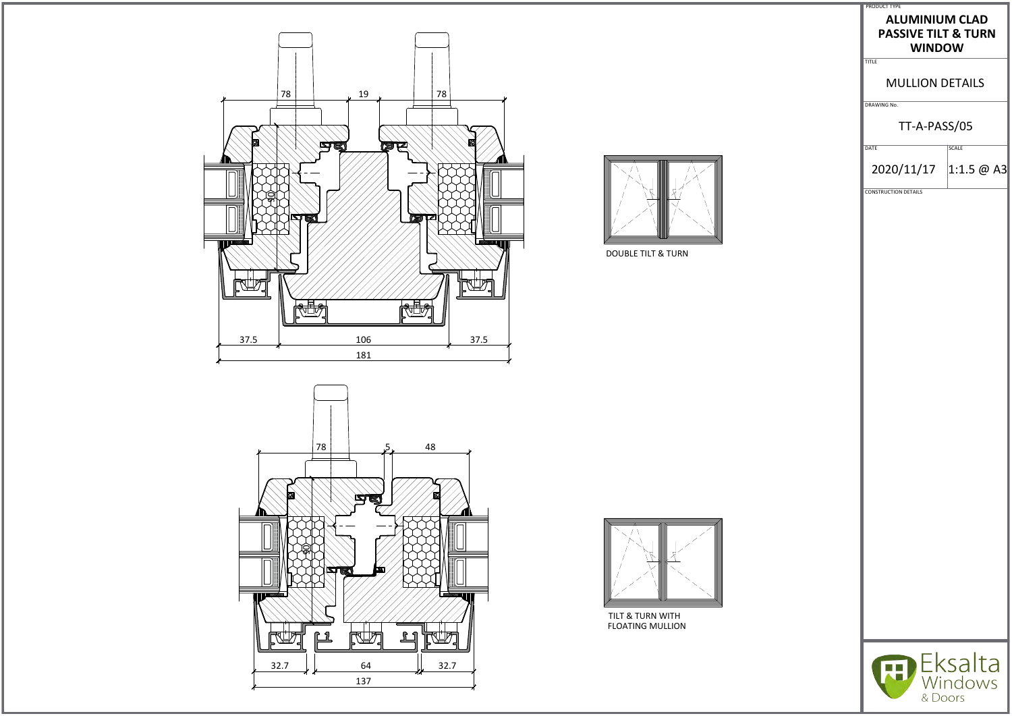



DOUBLE TILT & TURN





TILT & TURN WITH FLOATING MULLION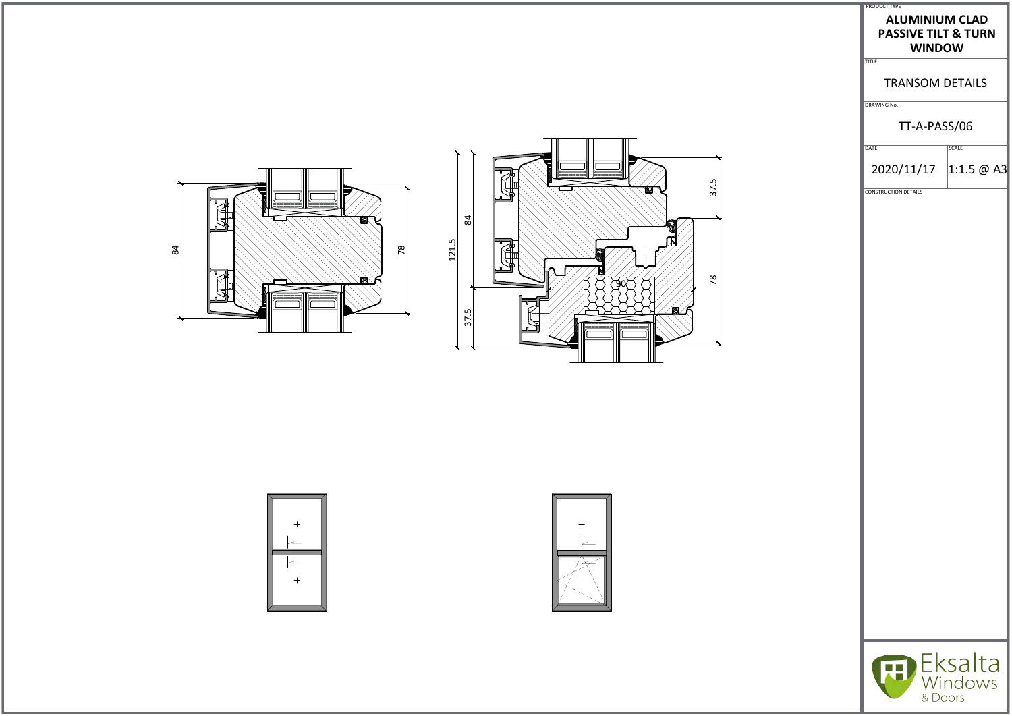





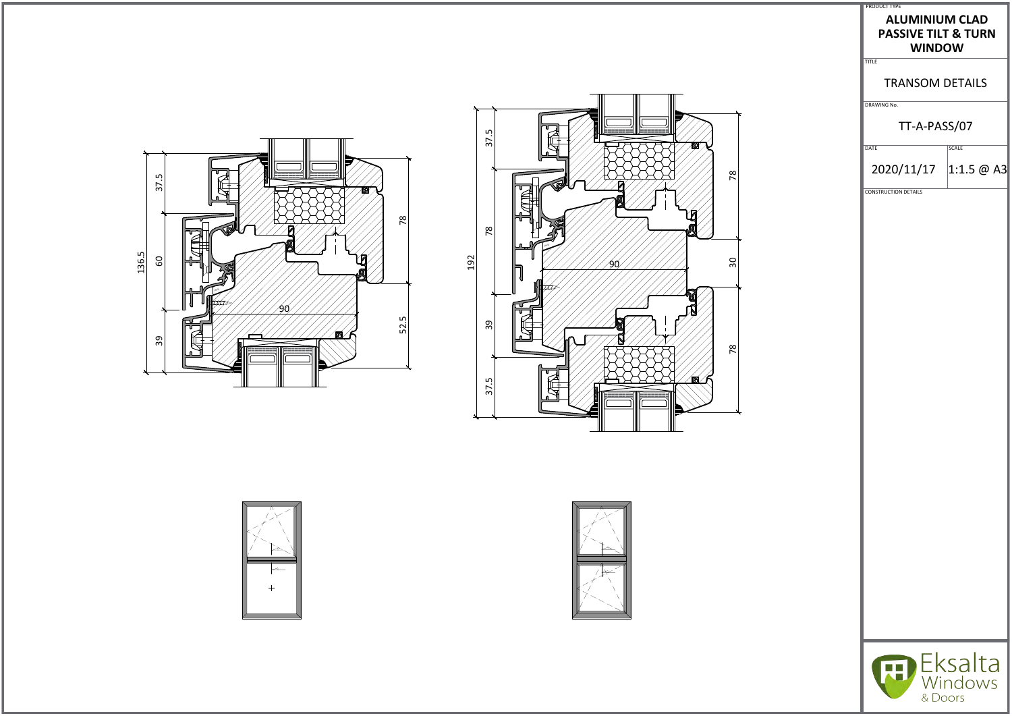